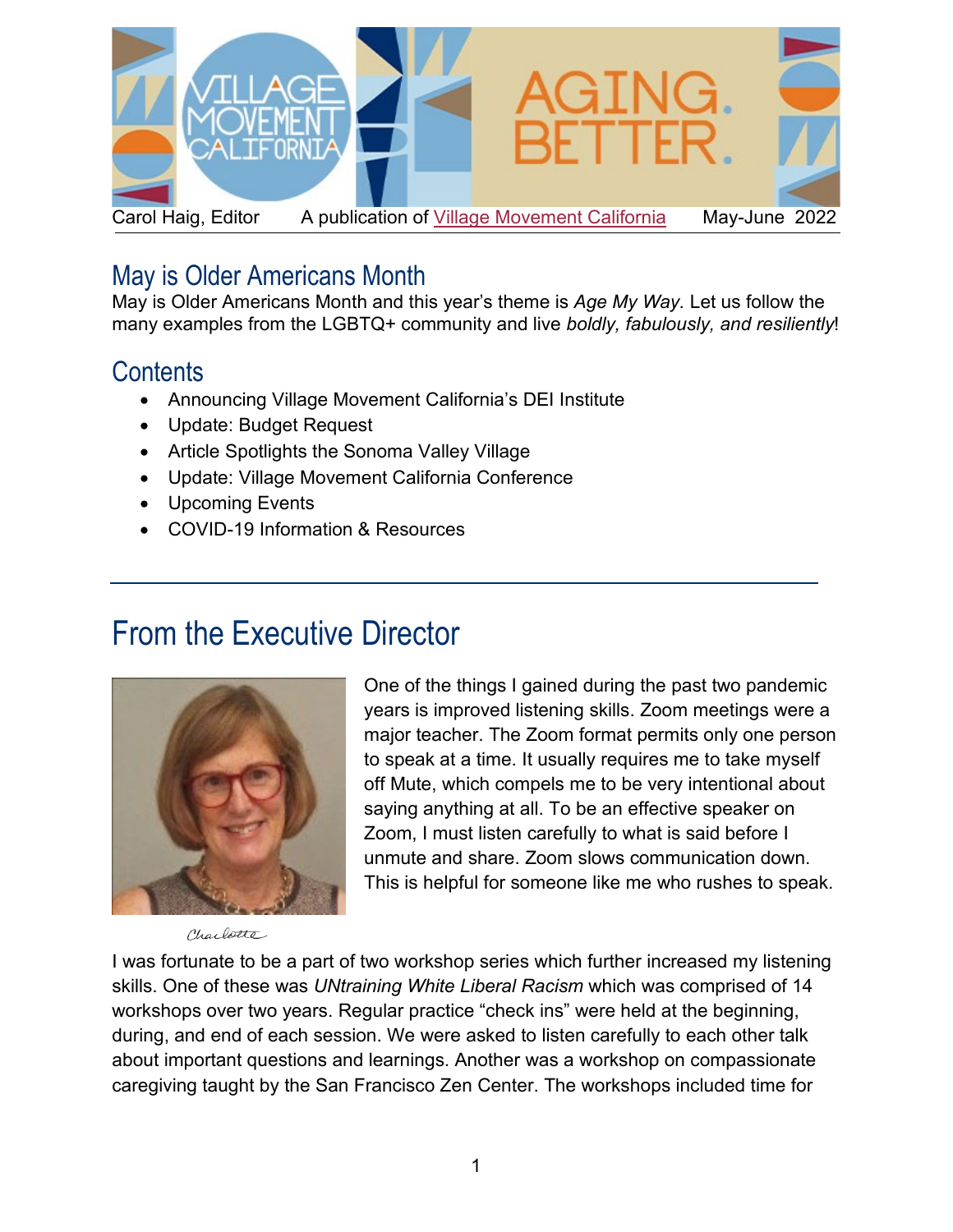

### May is Older Americans Month

May is Older Americans Month and this year's theme is *Age My Way.* Let us follow the many examples from the LGBTQ+ community and live *boldly, fabulously, and resiliently*!

### **Contents**

- Announcing Village Movement California's DEI Institute
- Update: Budget Request
- Article Spotlights the Sonoma Valley Village
- Update: Village Movement California Conference
- Upcoming Events
- COVID-19 Information & Resources

### From the Executive Director



One of the things I gained during the past two pandemic years is improved listening skills. Zoom meetings were a major teacher. The Zoom format permits only one person to speak at a time. It usually requires me to take myself off Mute, which compels me to be very intentional about saying anything at all. To be an effective speaker on Zoom, I must listen carefully to what is said before I unmute and share. Zoom slows communication down. This is helpful for someone like me who rushes to speak.

Charlotte

I was fortunate to be a part of two workshop series which further increased my listening skills. One of these was *UNtraining White Liberal Racism* which was comprised of 14 workshops over two years. Regular practice "check ins" were held at the beginning, during, and end of each session. We were asked to listen carefully to each other talk about important questions and learnings. Another was a workshop on compassionate caregiving taught by the San Francisco Zen Center. The workshops included time for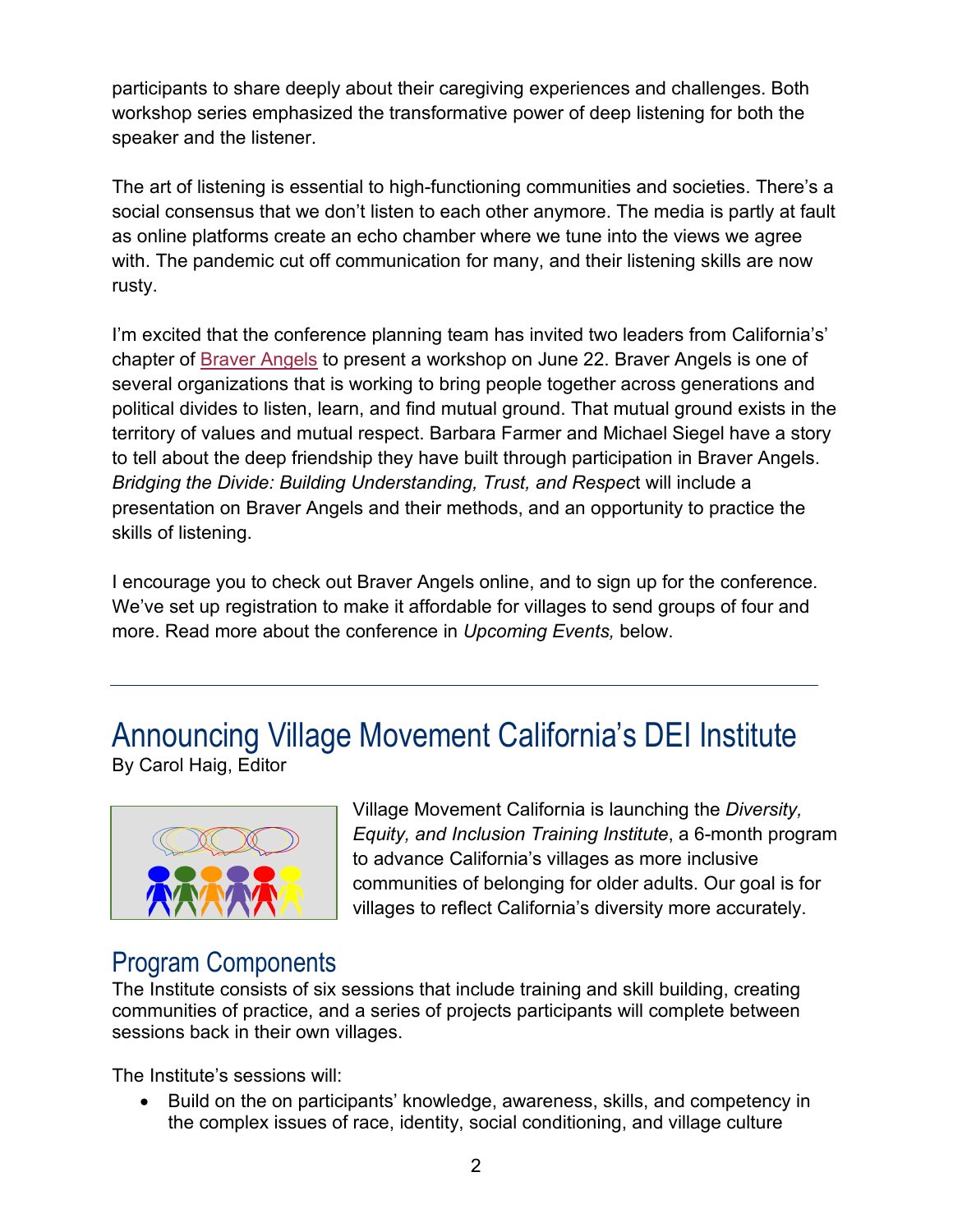participants to share deeply about their caregiving experiences and challenges. Both workshop series emphasized the transformative power of deep listening for both the speaker and the listener.

The art of listening is essential to high-functioning communities and societies. There's a social consensus that we don't listen to each other anymore. The media is partly at fault as online platforms create an echo chamber where we tune into the views we agree with. The pandemic cut off communication for many, and their listening skills are now rusty.

I'm excited that the conference planning team has invited two leaders from California's' chapter of [Braver Angels](https://braverangels.org/) to present a workshop on June 22. Braver Angels is one of several organizations that is working to bring people together across generations and political divides to listen, learn, and find mutual ground. That mutual ground exists in the territory of values and mutual respect. Barbara Farmer and Michael Siegel have a story to tell about the deep friendship they have built through participation in Braver Angels. *Bridging the Divide: Building Understanding, Trust, and Respec*t will include a presentation on Braver Angels and their methods, and an opportunity to practice the skills of listening.

I encourage you to check out Braver Angels online, and to sign up for the conference. We've set up registration to make it affordable for villages to send groups of four and more. Read more about the conference in *Upcoming Events,* below.

# Announcing Village Movement California's DEI Institute





Village Movement California is launching the *Diversity, Equity, and Inclusion Training Institute*, a 6-month program to advance California's villages as more inclusive communities of belonging for older adults. Our goal is for villages to reflect California's diversity more accurately.

### Program Components

The Institute consists of six sessions that include training and skill building, creating communities of practice, and a series of projects participants will complete between sessions back in their own villages.

The Institute's sessions will:

• Build on the on participants' knowledge, awareness, skills, and competency in the complex issues of race, identity, social conditioning, and village culture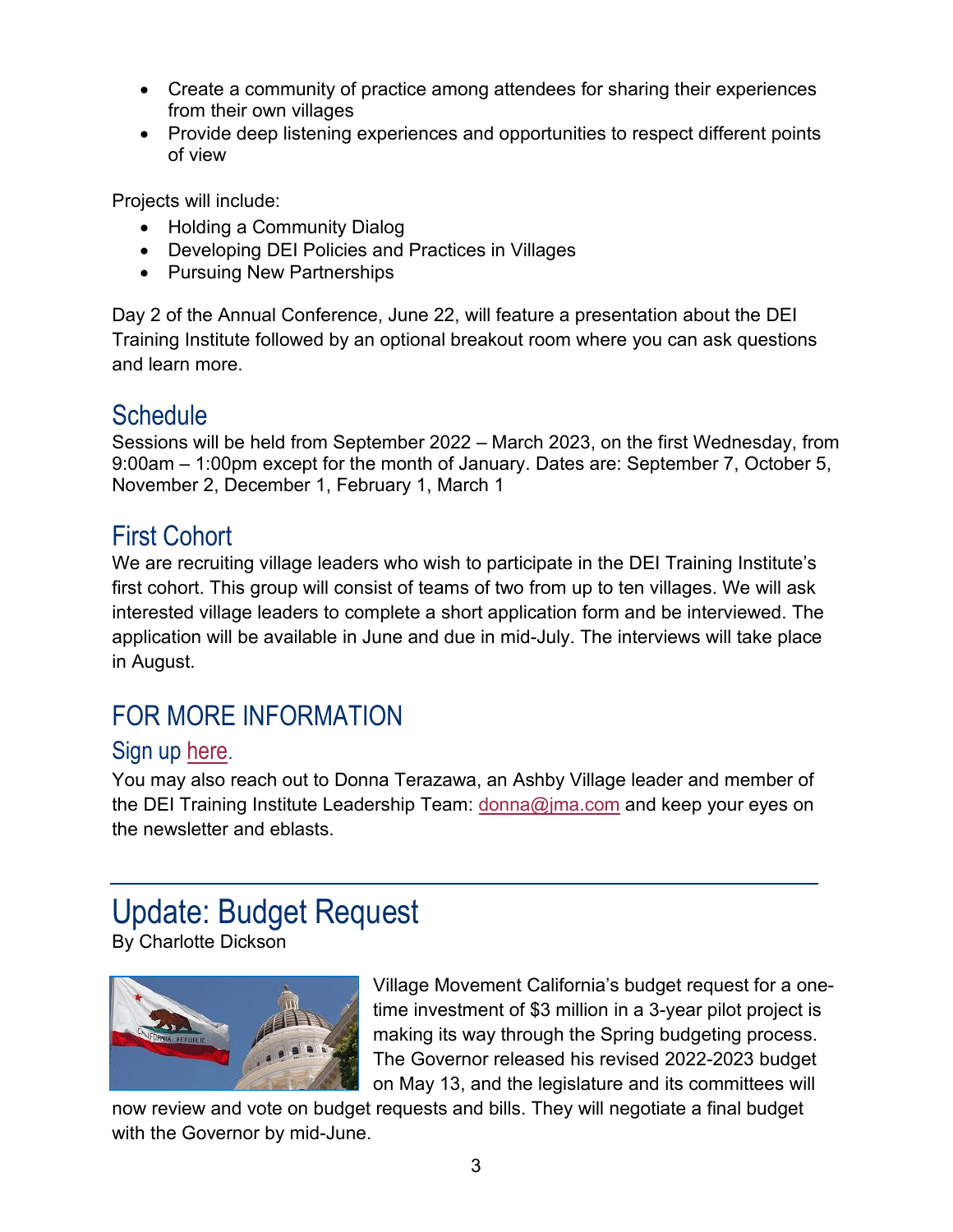- Create a community of practice among attendees for sharing their experiences from their own villages
- Provide deep listening experiences and opportunities to respect different points of view

Projects will include:

- Holding a Community Dialog
- Developing DEI Policies and Practices in Villages
- Pursuing New Partnerships

Day 2 of the Annual Conference, June 22, will feature a presentation about the DEI Training Institute followed by an optional breakout room where you can ask questions and learn more.

### **Schedule**

Sessions will be held from September 2022 – March 2023, on the first Wednesday, from 9:00am – 1:00pm except for the month of January. Dates are: September 7, October 5, November 2, December 1, February 1, March 1

### First Cohort

We are recruiting village leaders who wish to participate in the DEI Training Institute's first cohort. This group will consist of teams of two from up to ten villages. We will ask interested village leaders to complete a short application form and be interviewed. The application will be available in June and due in mid-July. The interviews will take place in August.

### FOR MORE INFORMATION

#### Sign up [here](https://villagemovementcalifornia.org/events/?eid=13869).

You may also reach out to Donna Terazawa, an Ashby Village leader and member of the DEI Training Institute Leadership Team: [donna@jma.com](mailto:donna@jma.com) and keep your eyes on the newsletter and eblasts.

# Update: Budget Request

By Charlotte Dickson



Village Movement California's budget request for a onetime investment of \$3 million in a 3-year pilot project is making its way through the Spring budgeting process. The Governor released his revised 2022-2023 budget on May 13, and the legislature and its committees will

now review and vote on budget requests and bills. They will negotiate a final budget with the Governor by mid-June.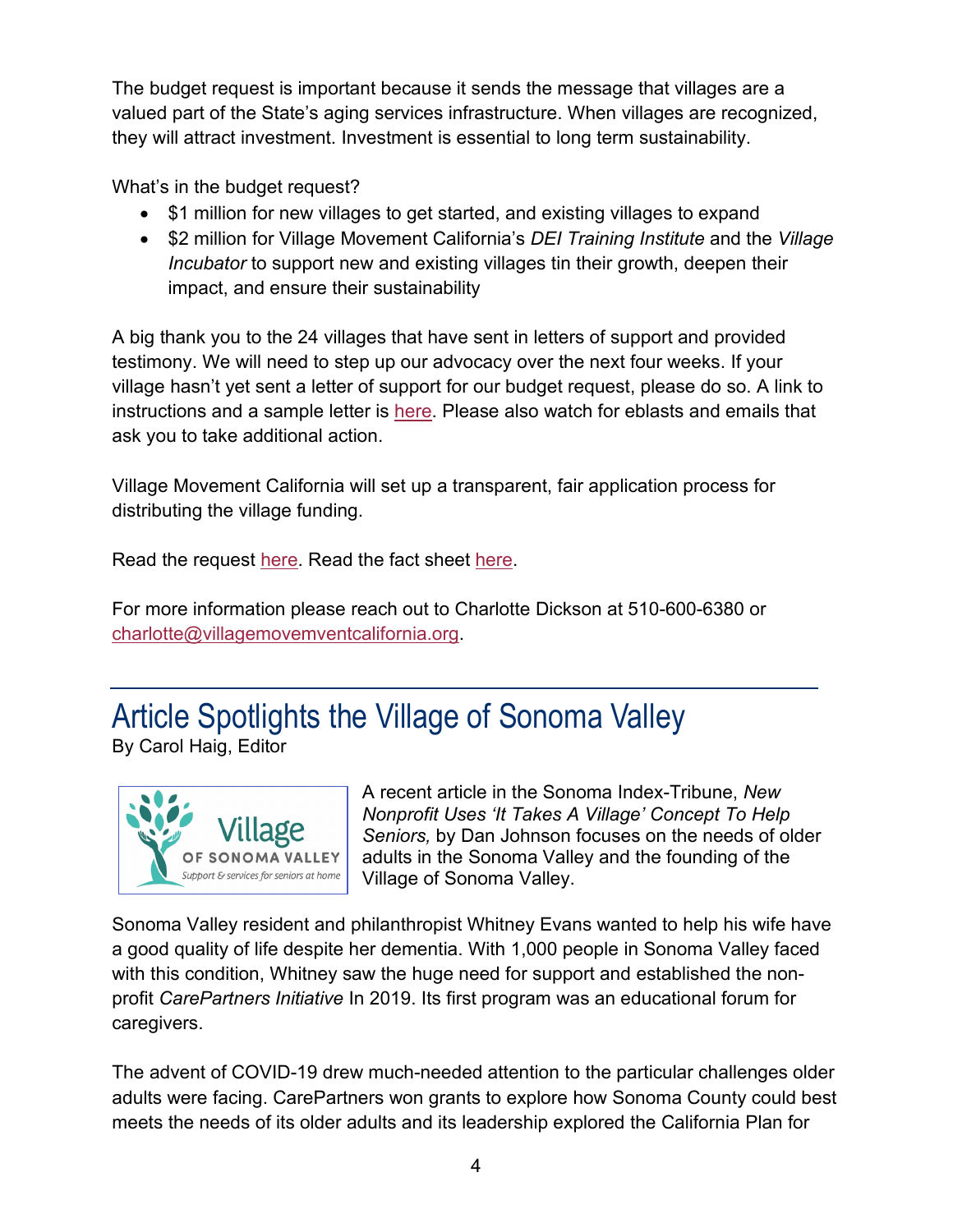The budget request is important because it sends the message that villages are a valued part of the State's aging services infrastructure. When villages are recognized, they will attract investment. Investment is essential to long term sustainability.

What's in the budget request?

- \$1 million for new villages to get started, and existing villages to expand
- \$2 million for Village Movement California's *DEI Training Institute* and the *Village Incubator* to support new and existing villages tin their growth, deepen their impact, and ensure their sustainability

A big thank you to the 24 villages that have sent in letters of support and provided testimony. We will need to step up our advocacy over the next four weeks. If your village hasn't yet sent a letter of support for our budget request, please do so. A link to instructions and a sample letter is [here.](https://villagemovementcalifornia.org/letter-of-support-for-budget-sub-committees/) Please also watch for eblasts and emails that ask you to take additional action.

Village Movement California will set up a transparent, fair application process for distributing the village funding.

Read the request [here.](https://villagemovementcalifornia.org/village-movement-ca-budget-request-senate-2-23-22/) Read the fact sheet [here.](https://villagemovementcalifornia.org/vmc-fact-sheet-march-2022/)

For more information please reach out to Charlotte Dickson at 510-600-6380 or [charlotte@villagemovemventcalifornia.org.](mailto:charlotte@villagemovemventcalifornia.org)

# Article Spotlights the Village of Sonoma Valley





A recent article in the Sonoma Index-Tribune, *New Nonprofit Uses 'It Takes A Village' Concept To Help Seniors,* by Dan Johnson focuses on the needs of older adults in the Sonoma Valley and the founding of the Village of Sonoma Valley.

Sonoma Valley resident and philanthropist Whitney Evans wanted to help his wife have a good quality of life despite her dementia. With 1,000 people in Sonoma Valley faced with this condition, Whitney saw the huge need for support and established the nonprofit *CarePartners Initiative* In 2019. Its first program was an educational forum for caregivers.

The advent of COVID-19 drew much-needed attention to the particular challenges older adults were facing. CarePartners won grants to explore how Sonoma County could best meets the needs of its older adults and its leadership explored the California Plan for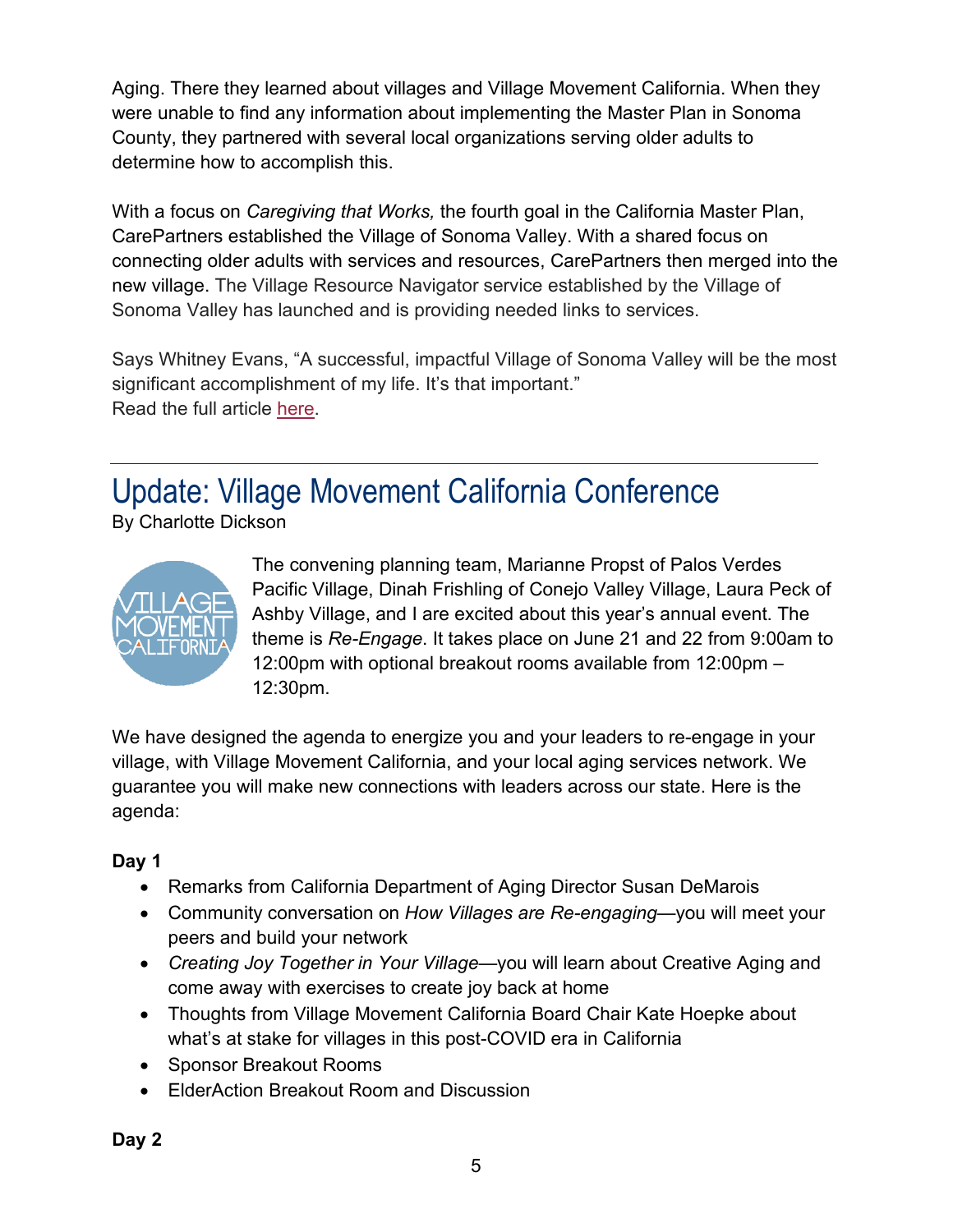Aging. There they learned about villages and Village Movement California. When they were unable to find any information about implementing the Master Plan in Sonoma County, they partnered with several local organizations serving older adults to determine how to accomplish this.

With a focus on *Caregiving that Works,* the fourth goal in the California Master Plan, CarePartners established the Village of Sonoma Valley. With a shared focus on connecting older adults with services and resources, CarePartners then merged into the new village. The Village Resource Navigator service established by the Village of Sonoma Valley has launched and is providing needed links to services.

Says Whitney Evans, "A successful, impactful Village of Sonoma Valley will be the most significant accomplishment of my life. It's that important." Read the full article [here.](https://www.sonomanews.com/article/news/new-nonprofit-uses-it-takes-a-village-concept-to-help-seniors/)

Update: Village Movement California Conference

By Charlotte Dickson



The convening planning team, Marianne Propst of Palos Verdes Pacific Village, Dinah Frishling of Conejo Valley Village, Laura Peck of Ashby Village, and I are excited about this year's annual event. The theme is *Re-Engage*. It takes place on June 21 and 22 from 9:00am to 12:00pm with optional breakout rooms available from 12:00pm – 12:30pm.

We have designed the agenda to energize you and your leaders to re-engage in your village, with Village Movement California, and your local aging services network. We guarantee you will make new connections with leaders across our state. Here is the agenda:

#### **Day 1**

- Remarks from California Department of Aging Director Susan DeMarois
- Community conversation on *How Villages are Re-engaging*—you will meet your peers and build your network
- *Creating Joy Together in Your Village*—you will learn about Creative Aging and come away with exercises to create joy back at home
- Thoughts from Village Movement California Board Chair Kate Hoepke about what's at stake for villages in this post-COVID era in California
- Sponsor Breakout Rooms
- ElderAction Breakout Room and Discussion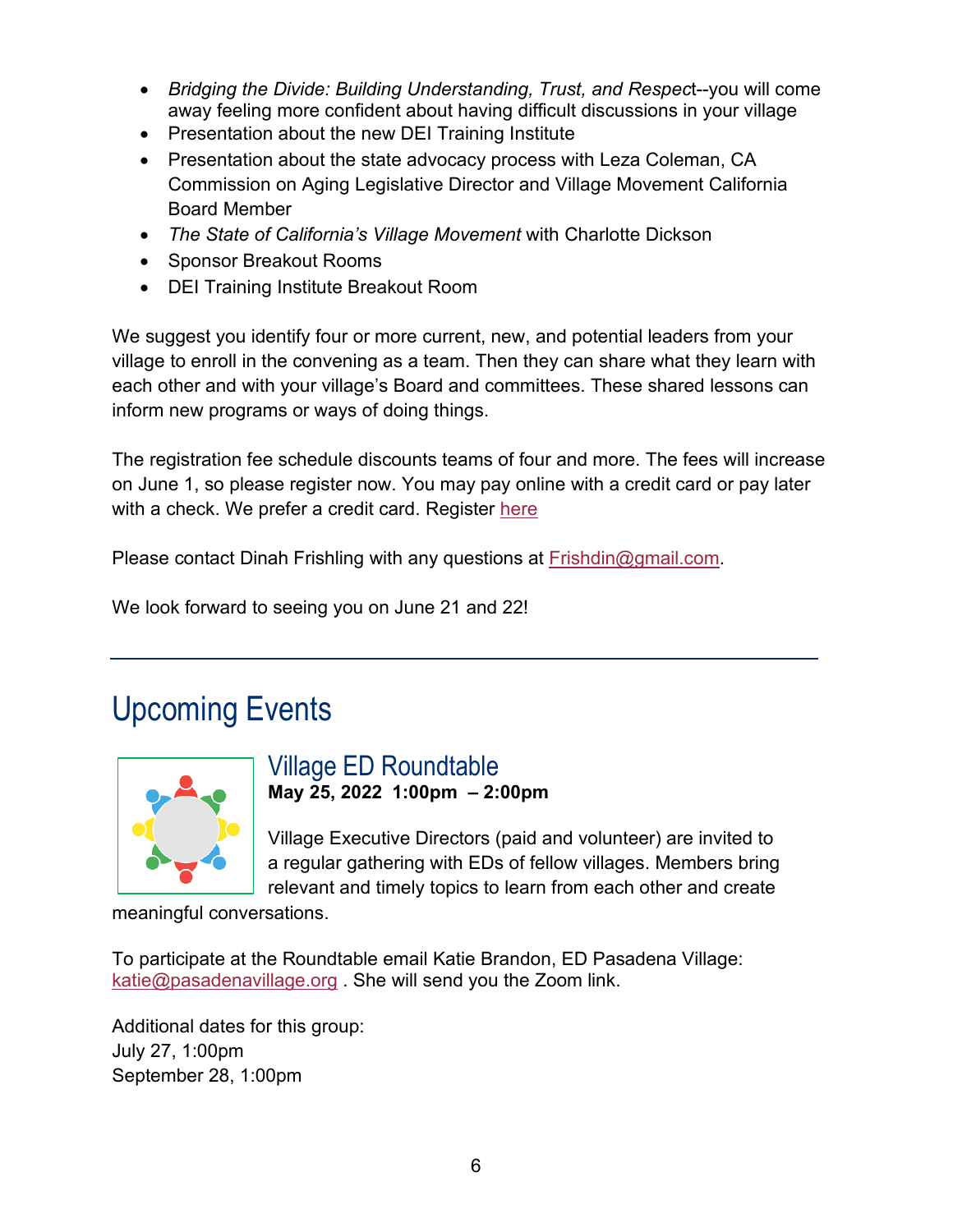- *Bridging the Divide: Building Understanding, Trust, and Respec*t--you will come away feeling more confident about having difficult discussions in your village
- Presentation about the new DEI Training Institute
- Presentation about the state advocacy process with Leza Coleman, CA Commission on Aging Legislative Director and Village Movement California Board Member
- *The State of California's Village Movement* with Charlotte Dickson
- Sponsor Breakout Rooms
- DEI Training Institute Breakout Room

We suggest you identify four or more current, new, and potential leaders from your village to enroll in the convening as a team. Then they can share what they learn with each other and with your village's Board and committees. These shared lessons can inform new programs or ways of doing things.

The registration fee schedule discounts teams of four and more. The fees will increase on June 1, so please register now. You may pay online with a credit card or pay later with a check. We prefer a credit card. Register [here](https://villagemovementcalifornia.org/events/?eid=13837)

Please contact Dinah Frishling with any questions at **Frishdin@gmail.com**.

We look forward to seeing you on June 21 and 22!

## Upcoming Events



#### Village ED Roundtable **May 25, 2022 1:00pm – 2:00pm**

Village Executive Directors (paid and volunteer) are invited to a regular gathering with EDs of fellow villages. Members bring relevant and timely topics to learn from each other and create

meaningful conversations.

To participate at the Roundtable email Katie Brandon, ED Pasadena Village: [katie@pasadenavillage.org](mailto:katie@pasadenavillage.org) . She will send you the Zoom link.

Additional dates for this group: July 27, 1:00pm September 28, 1:00pm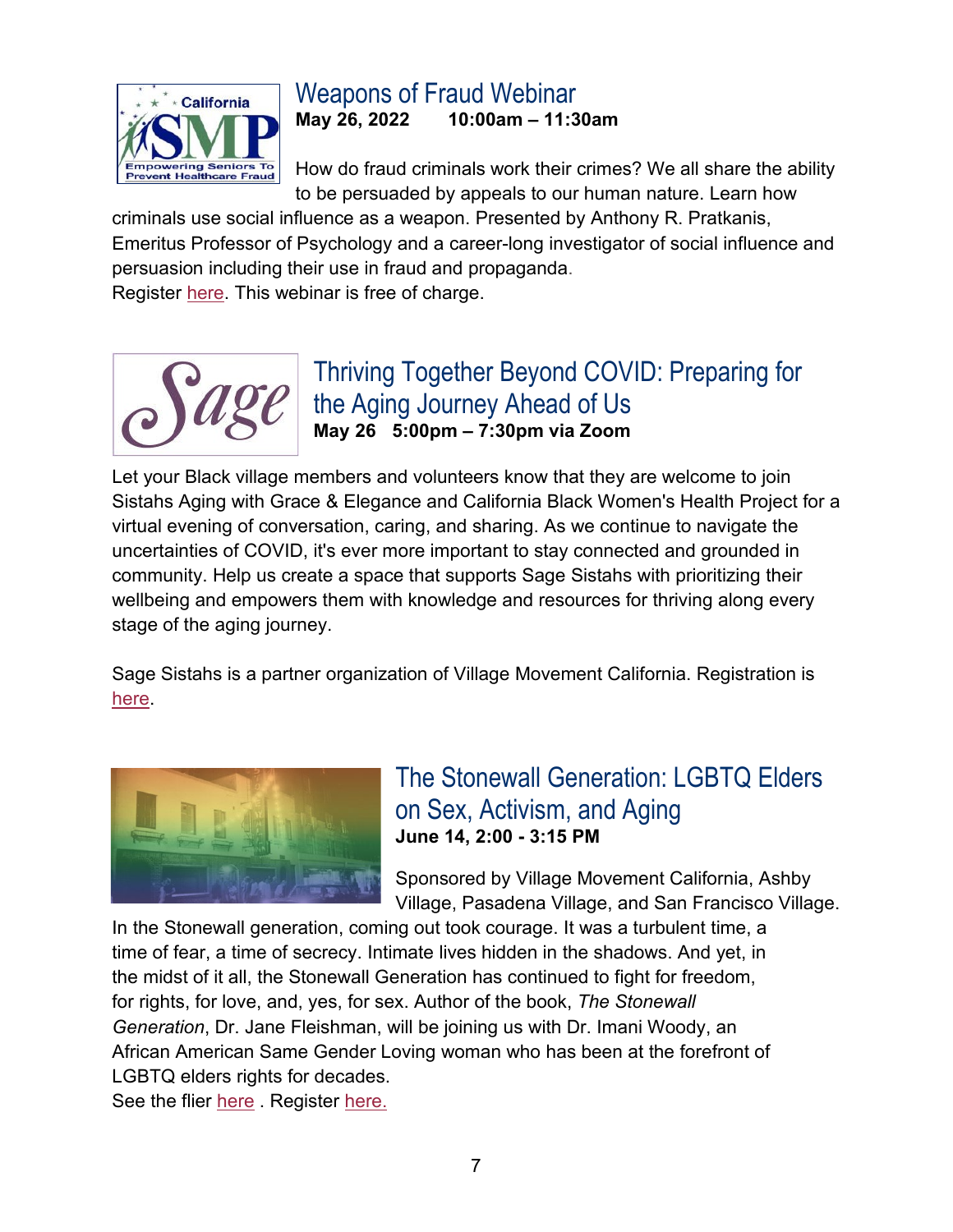

## Weapons of Fraud Webinar

**May 26, 2022 10:00am – 11:30am**

How do fraud criminals work their crimes? We all share the ability to be persuaded by appeals to our human nature. Learn how

criminals use social influence as a weapon. Presented by Anthony R. Pratkanis, Emeritus Professor of Psychology and a career-long investigator of social influence and persuasion including their use in fraud and propaganda. Register [here.](https://us02web.zoom.us/webinar/register/WN_zyTCRz9yRB-UeZqeKwJoNQ) This webinar is free of charge.



### Thriving Together Beyond COVID: Preparing for the Aging Journey Ahead of Us **May 26 5:00pm – 7:30pm via Zoom**

Let your Black village members and volunteers know that they are welcome to join Sistahs Aging with Grace & Elegance and California Black Women's Health Project for a virtual evening of conversation, caring, and sharing. As we continue to navigate the uncertainties of COVID, it's ever more important to stay connected and grounded in community. Help us create a space that supports Sage Sistahs with prioritizing their wellbeing and empowers them with knowledge and resources for thriving along every stage of the aging journey.

Sage Sistahs is a partner organization of Village Movement California. Registration is [here.](https://www.eventbrite.com/e/sage-sistahs-thriving-beyond-covid-together-tickets-338416852917?aff=odeccpebemailcampaigns&utm_source=eventbrite&utm_medium=ebcampaigns&utm_campaign=6226489&utm_term=ctabutton&mipa=ABIdvVs-hg9IIwUu_5hJ3tc3KE_ucNNga0Atb2UYtTig4r1OBALD7aaohYI0s80wqt6Tfg3ckbOf_JMl7bznZS10TsGfKZMBqUofSQ99B7gN2bQQOtKK1I5WEChFYQQXgXr1rKZ4mWLkGCZyUSUqE0NH-begv7uoVgII57TOSOByHQFK9s0u8fmADE6jep-hAJeHQoYOtWEPgav38JEBRJ8f2MBSmBBaSpAM_edhs5V--RE_3yFvjkyFhsIEJcORw1sdc6wjd5uUUgMscvTKdHhWpthm8FIwpD_yPqV-4i22C6xV47dYKwM)



### The Stonewall Generation: LGBTQ Elders on Sex, Activism, and Aging **June 14, 2:00 - 3:15 PM**

Sponsored by Village Movement California, Ashby Village, Pasadena Village, and San Francisco Village.

In the Stonewall generation, coming out took courage. It was a turbulent time, a time of fear, a time of secrecy. Intimate lives hidden in the shadows. And yet, in the midst of it all, the Stonewall Generation has continued to fight for freedom, for rights, for love, and, yes, for sex. Author of the book, *The Stonewall Generation*, Dr. Jane Fleishman, will be joining us with Dr. Imani Woody, an African American Same Gender Loving woman who has been at the forefront of LGBTQ elders rights for decades. See the flier [here](https://villagemovementcalifornia.org/wp-content/uploads/2022/05/stonewall-generation.pdf). Register [here.](https://villagemovementcalifornia.org/events/?eid=13849)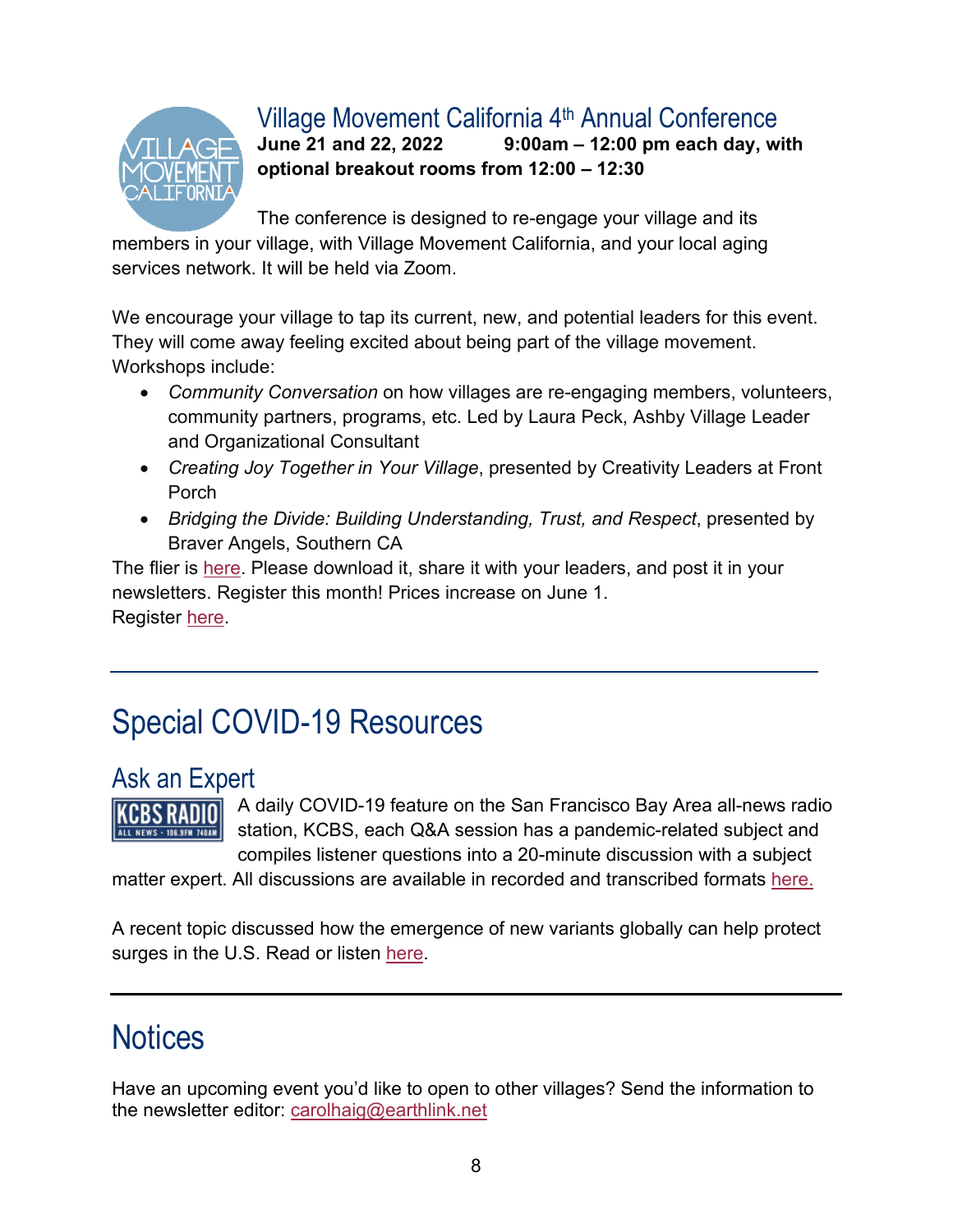

#### Village Movement California  $4<sup>th</sup>$  Annual Conference<br>June 21 and 22, 2022 9:00am - 12:00 pm each day, w **June 21 and 22, 2022 9:00am – 12:00 pm each day, with**

**optional breakout rooms from 12:00 – 12:30**

The conference is designed to re-engage your village and its members in your village, with Village Movement California, and your local aging services network. It will be held via Zoom.

We encourage your village to tap its current, new, and potential leaders for this event. They will come away feeling excited about being part of the village movement. Workshops include:

- *Community Conversation* on how villages are re-engaging members, volunteers, community partners, programs, etc. Led by Laura Peck, Ashby Village Leader and Organizational Consultant
- *Creating Joy Together in Your Village*, presented by Creativity Leaders at Front Porch
- *Bridging the Divide: Building Understanding, Trust, and Respect*, presented by Braver Angels, Southern CA

The flier is [here.](http://villagemovementcalifornia.org/wp-content/uploads/2022/04/VMC-convening-2022.pdf) Please download it, share it with your leaders, and post it in your newsletters. Register this month! Prices increase on June 1. Register [here.](https://villagemovementcalifornia.org/events/?eid=13837)

# Special COVID-19 Resources

### Ask an Expert

KCBS RADIO LL NEWS - 106.9FM 740AM

A daily COVID-19 feature on the San Francisco Bay Area all-news radio station, KCBS, each Q&A session has a pandemic-related subject and compiles listener questions into a 20-minute discussion with a subject

matter expert. All discussions are available in recorded and transcribed formats [here.](https://kcbsradio.radio.com/tag/ask-an-expert)

A recent topic discussed how the emergence of new variants globally can help protect surges in the U.S. Read or listen [here.](https://www.audacy.com/kcbsradio/news/world/emergence-of-variants-globally-can-help-predict-surges-in-us)

# **Notices**

Have an upcoming event you'd like to open to other villages? Send the information to the newsletter editor: [carolhaig@earthlink.net](mailto:carolhaig@earthlink.net)